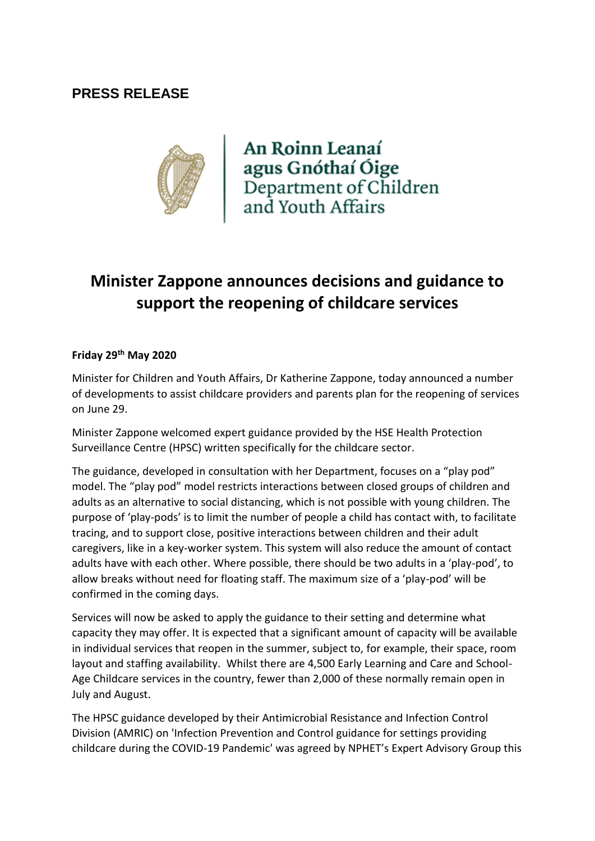## **PRESS RELEASE**



An Roinn Leanaí agus Gnóthaí Óige<br>Department of Children<br>and Youth Affairs

# **Minister Zappone announces decisions and guidance to support the reopening of childcare services**

#### **Friday 29th May 2020**

Minister for Children and Youth Affairs, Dr Katherine Zappone, today announced a number of developments to assist childcare providers and parents plan for the reopening of services on June 29.

Minister Zappone welcomed expert guidance provided by the HSE Health Protection Surveillance Centre (HPSC) written specifically for the childcare sector.

The guidance, developed in consultation with her Department, focuses on a "play pod" model. The "play pod" model restricts interactions between closed groups of children and adults as an alternative to social distancing, which is not possible with young children. The purpose of 'play-pods' is to limit the number of people a child has contact with, to facilitate tracing, and to support close, positive interactions between children and their adult caregivers, like in a key-worker system. This system will also reduce the amount of contact adults have with each other. Where possible, there should be two adults in a 'play-pod', to allow breaks without need for floating staff. The maximum size of a 'play-pod' will be confirmed in the coming days.

Services will now be asked to apply the guidance to their setting and determine what capacity they may offer. It is expected that a significant amount of capacity will be available in individual services that reopen in the summer, subject to, for example, their space, room layout and staffing availability. Whilst there are 4,500 Early Learning and Care and School-Age Childcare services in the country, fewer than 2,000 of these normally remain open in July and August.

The HPSC guidance developed by their Antimicrobial Resistance and Infection Control Division (AMRIC) on 'Infection Prevention and Control guidance for settings providing childcare during the COVID-19 Pandemic' was agreed by NPHET's Expert Advisory Group this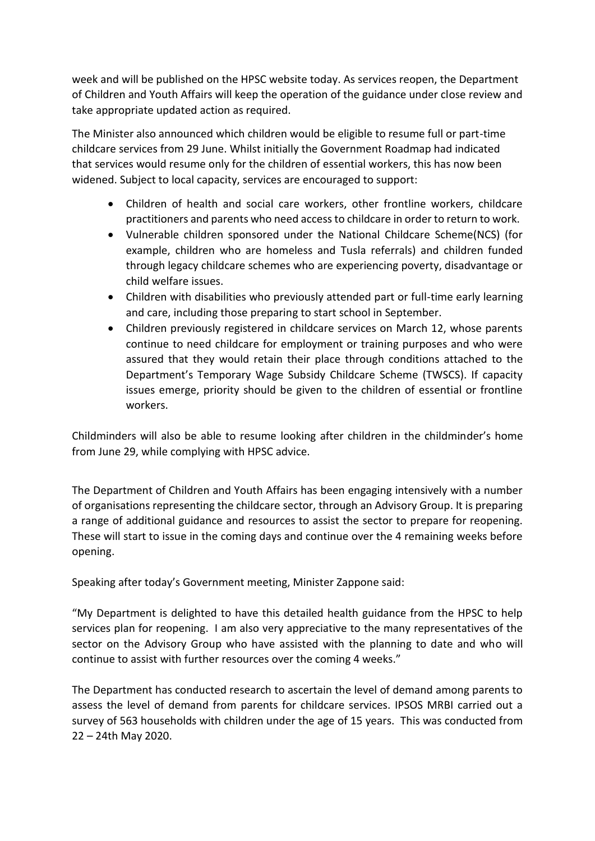week and will be published on the HPSC website today. As services reopen, the Department of Children and Youth Affairs will keep the operation of the guidance under close review and take appropriate updated action as required.

The Minister also announced which children would be eligible to resume full or part-time childcare services from 29 June. Whilst initially the Government Roadmap had indicated that services would resume only for the children of essential workers, this has now been widened. Subject to local capacity, services are encouraged to support:

- Children of health and social care workers, other frontline workers, childcare practitioners and parents who need access to childcare in order to return to work.
- Vulnerable children sponsored under the National Childcare Scheme(NCS) (for example, children who are homeless and Tusla referrals) and children funded through legacy childcare schemes who are experiencing poverty, disadvantage or child welfare issues.
- Children with disabilities who previously attended part or full-time early learning and care, including those preparing to start school in September.
- Children previously registered in childcare services on March 12, whose parents continue to need childcare for employment or training purposes and who were assured that they would retain their place through conditions attached to the Department's Temporary Wage Subsidy Childcare Scheme (TWSCS). If capacity issues emerge, priority should be given to the children of essential or frontline workers.

Childminders will also be able to resume looking after children in the childminder's home from June 29, while complying with HPSC advice.

The Department of Children and Youth Affairs has been engaging intensively with a number of organisations representing the childcare sector, through an Advisory Group. It is preparing a range of additional guidance and resources to assist the sector to prepare for reopening. These will start to issue in the coming days and continue over the 4 remaining weeks before opening.

Speaking after today's Government meeting, Minister Zappone said:

"My Department is delighted to have this detailed health guidance from the HPSC to help services plan for reopening. I am also very appreciative to the many representatives of the sector on the Advisory Group who have assisted with the planning to date and who will continue to assist with further resources over the coming 4 weeks."

The Department has conducted research to ascertain the level of demand among parents to assess the level of demand from parents for childcare services. IPSOS MRBI carried out a survey of 563 households with children under the age of 15 years. This was conducted from 22 – 24th May 2020.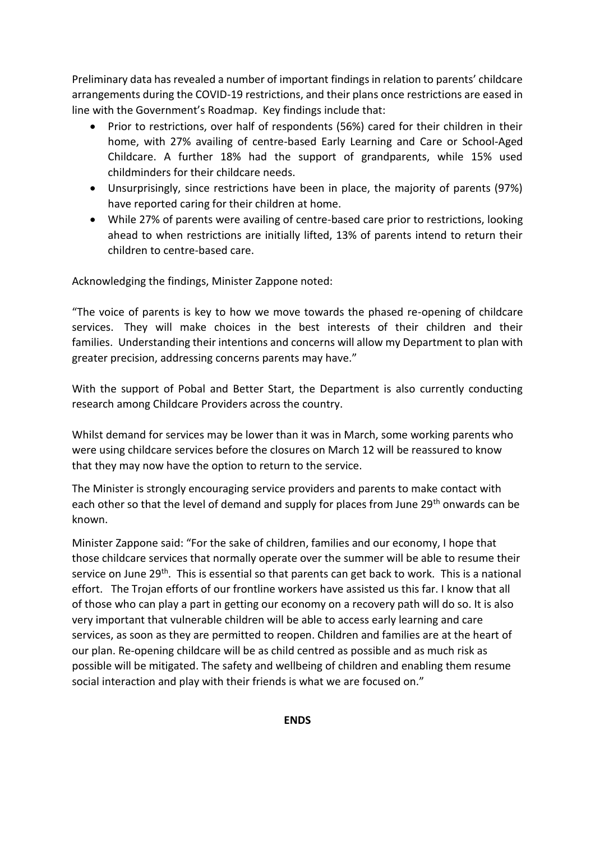Preliminary data has revealed a number of important findings in relation to parents' childcare arrangements during the COVID-19 restrictions, and their plans once restrictions are eased in line with the Government's Roadmap. Key findings include that:

- Prior to restrictions, over half of respondents (56%) cared for their children in their home, with 27% availing of centre-based Early Learning and Care or School-Aged Childcare. A further 18% had the support of grandparents, while 15% used childminders for their childcare needs.
- Unsurprisingly, since restrictions have been in place, the majority of parents (97%) have reported caring for their children at home.
- While 27% of parents were availing of centre-based care prior to restrictions, looking ahead to when restrictions are initially lifted, 13% of parents intend to return their children to centre-based care.

Acknowledging the findings, Minister Zappone noted:

"The voice of parents is key to how we move towards the phased re-opening of childcare services. They will make choices in the best interests of their children and their families. Understanding their intentions and concerns will allow my Department to plan with greater precision, addressing concerns parents may have."

With the support of Pobal and Better Start, the Department is also currently conducting research among Childcare Providers across the country.

Whilst demand for services may be lower than it was in March, some working parents who were using childcare services before the closures on March 12 will be reassured to know that they may now have the option to return to the service.

The Minister is strongly encouraging service providers and parents to make contact with each other so that the level of demand and supply for places from June 29<sup>th</sup> onwards can be known.

Minister Zappone said: "For the sake of children, families and our economy, I hope that those childcare services that normally operate over the summer will be able to resume their service on June 29<sup>th</sup>. This is essential so that parents can get back to work. This is a national effort. The Trojan efforts of our frontline workers have assisted us this far. I know that all of those who can play a part in getting our economy on a recovery path will do so. It is also very important that vulnerable children will be able to access early learning and care services, as soon as they are permitted to reopen. Children and families are at the heart of our plan. Re-opening childcare will be as child centred as possible and as much risk as possible will be mitigated. The safety and wellbeing of children and enabling them resume social interaction and play with their friends is what we are focused on."